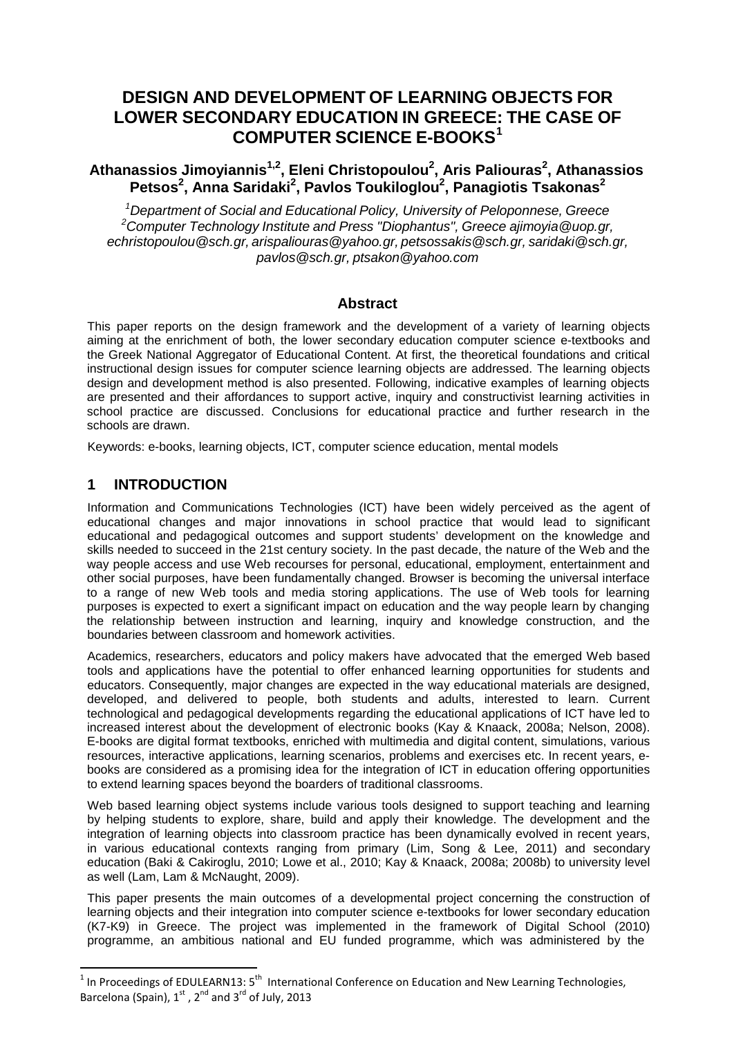## **DESIGN AND DEVELOPMENT OF LEARNING OBJECTS FOR LOWER SECONDARY EDUCATION IN GREECE: THE CASE OF COMPUTER SCIENCE E-BOOKS[1](#page-0-0)**

## **Athanassios Jimoyiannis1,2, Eleni Christopoulou2 , Aris Paliouras<sup>2</sup> , Athanassios Petsos<sup>2</sup> , Anna Saridaki<sup>2</sup> , Pavlos Toukiloglou2 , Panagiotis Tsakonas<sup>2</sup>**

*1 Department of Social and Educational Policy, University of Peloponnese, Greece 2 Computer Technology Institute and Press "Diophantus", Greece [ajimoyia@uop.gr,](mailto:ajimoyia@uop.gr) [echristopoulou@sch.gr,](mailto:echristopoulou@sch.gr) [arispaliouras@yahoo.gr,](mailto:echristopoulou@sch.gr) [petsossakis@sch.gr,](mailto:petsossakis@sch.gr) [saridaki@sch.gr,](mailto:petsossakis@sch.gr) pavlos@sch.gr, ptsakon@yahoo.com*

## **Abstract**

This paper reports on the design framework and the development of a variety of learning objects aiming at the enrichment of both, the lower secondary education somputer scient e-textbooks and aiming at the enrichment of both, the lower secondary education computer science-textbooks and the Greek National Aggregator of Educational Content. At first the effectional found was and critical the Greek National Aggregator of Educational Content. At first the theoretical foundations and critical instructional design issues for computer science learning of the asset of The and the theoretical foundations are addr instructional design issues for computer science learning objects are addressed. The learning objects design and development method is also presented. Following, indicative examples of learning objects design and development method is also presented. Following, indicative examples of learning objects are presented and their affordances to support active, ultry and conductivities learning activities in are presented and their affordances to support active, in quiry and constructivist learning activities in school practice are discussed. Conclusions for education practice and further research in the school practice are discussed. Conclusions for educational practice and further research in the research in the schools are drawn.

Keywords: e-books, learning objects, ICT, computer science education, mental models

## **1 INTRODUCTION**

 $\overline{\phantom{a}}$ 

Information and Communications Technologie (ICT) we be videly perceived as the agent of educational changes and major innovations educational changes and major innovations<br>educational and pedagogical was and sup educational and pedagogical students' development on the knowledge and support in the students' development on the knowledge and support students' at the past decade, the nature of the Web and the skills needed to succeed in the 21st century society. In the past decade, the nature of the Web and the way people access and Web recession person all, educational, employment, entertainment and way people access and Web recourses for personal, educational, employment, entertainment and other social purposes even functionally changed. Browser is becoming the universal interface other social purposes, the been fundamentally changed. Browser is becoming the universal interface<br>to a range of new Webles are the the second interface in the universal interface to a range of new Web pols and media applications. The use of Web tools for learning purposes is expected to experiment and media storing application and the way people learn by changing purposes is expected to exert a significant impact on education and the way people learn by changing the relationship between in ction and learning, inquiry and knowledge construction, and the tion and learning, inquiry and knowledge construction, and the boundaries between come boundaries. pay the state of the determined by the set of the minimal state and actions are the entire the minimal of the lower secondary educations and the determined by the set of the state of the state of the state of the state of

Academ researchers, ucators and policy makers have advocated that the emerged Web based<br>tools and polications has the pote dal to offer enhanced learning opportunities for students and tools and applications have the potential to offer enhanced learning opportunities for students and educations of consequently, in the potential are designed. educators. Consequently, major changes are expected in the way educational materials are designed, development and delivered developed and delivered by people, both students and adults, interested to learn. Current technology and pedagogy developments regarding the educational applications of ICT have led to technological and pedagogical developments regarding the educational applications of ICT have led to increased in the total development of electronic books (Kay & Knaack, 2008a; Nelson, 2008). development of electronic books (Kay & Knaack, 2008a; Nelson, 2008). E-books are digital format textbooks, enriched with multimedia and digital content, simulations, various resources, interactive applications, learning scenarios, problems and exercises etc. In recent years, ebooks are considered as a promising idea for the integration of ICT in education offering opportunities to extend learning spaces beyond the boarders of traditional classrooms.

Web based learning object systems include various tools designed to support teaching and learning by helping students to explore, share, build and apply their knowledge. The development and the integration of learning objects into classroom practice has been dynamically evolved in recent years, in various educational contexts ranging from primary (Lim, Song & Lee, 2011) and secondary education (Baki & Cakiroglu, 2010; Lowe et al., 2010; Kay & Knaack, 2008a; 2008b) to university level as well (Lam, Lam & McNaught, 2009).

This paper presents the main outcomes of a developmental project concerning the construction of learning objects and their integration into computer science e-textbooks for lower secondary education (K7-K9) in Greece. The project was implemented in the framework of Digital School (2010) programme, an ambitious national and EU funded programme, which was administered by the

<span id="page-0-0"></span><sup>&</sup>lt;sup>1</sup> In Proceedings of EDULEARN13: 5<sup>th</sup> International Conference on Education and New Learning Technologies, Barcelona (Spain),  $1^{st}$ ,  $2^{nd}$  and  $3^{rd}$  of July, 2013